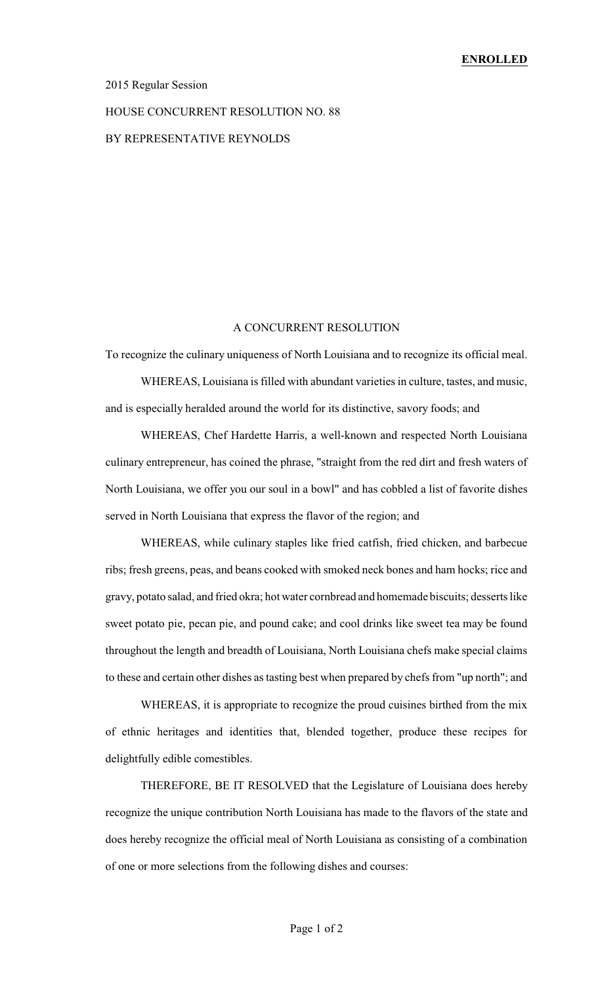## 2015 Regular Session

## HOUSE CONCURRENT RESOLUTION NO. 88 BY REPRESENTATIVE REYNOLDS

## A CONCURRENT RESOLUTION

To recognize the culinary uniqueness of North Louisiana and to recognize its official meal.

WHEREAS, Louisiana is filled with abundant varieties in culture, tastes, and music, and is especially heralded around the world for its distinctive, savory foods; and

WHEREAS, Chef Hardette Harris, a well-known and respected North Louisiana culinary entrepreneur, has coined the phrase, "straight from the red dirt and fresh waters of North Louisiana, we offer you our soul in a bowl" and has cobbled a list of favorite dishes served in North Louisiana that express the flavor of the region; and

WHEREAS, while culinary staples like fried catfish, fried chicken, and barbecue ribs; fresh greens, peas, and beans cooked with smoked neck bones and ham hocks; rice and gravy, potato salad, and fried okra; hot water cornbread and homemade biscuits; desserts like sweet potato pie, pecan pie, and pound cake; and cool drinks like sweet tea may be found throughout the length and breadth of Louisiana, North Louisiana chefs make special claims to these and certain other dishes as tasting best when prepared by chefs from "up north"; and

WHEREAS, it is appropriate to recognize the proud cuisines birthed from the mix of ethnic heritages and identities that, blended together, produce these recipes for delightfully edible comestibles.

THEREFORE, BE IT RESOLVED that the Legislature of Louisiana does hereby recognize the unique contribution North Louisiana has made to the flavors of the state and does hereby recognize the official meal of North Louisiana as consisting of a combination of one or more selections from the following dishes and courses: